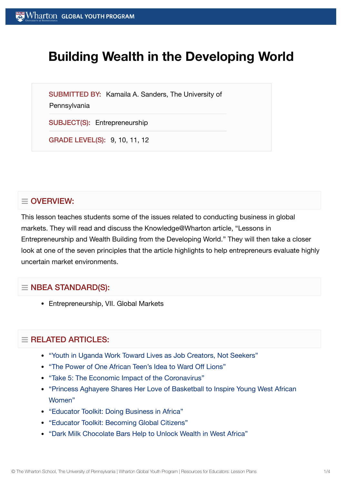# **Building Wealth in the Developing World**

SUBMITTED BY: Kamaila A. Sanders, The University of

**Pennsylvania** 

SUBJECT(S): Entrepreneurship

GRADE LEVEL(S): 9, 10, 11, 12

# $\equiv$  OVERVIEW:

This lesson teaches students some of the issues related to conducting business in global markets. They will read and discuss the Knowledge@Wharton article, "Lessons in Entrepreneurship and Wealth Building from the Developing World." They will then take a closer look at one of the seven principles that the article highlights to help entrepreneurs evaluate highly uncertain market environments.

## $\equiv$  NBEA STANDARD(S):

Entrepreneurship, VII. Global Markets

## $=$  RELATED ARTICLES:

- "Youth in Uganda Work Toward [Lives as Job](https://globalyouth.wharton.upenn.edu/articles/youth-uganda-become-job-creators-not-seekers/) Creators, Not Seekers"
- "The Power of One African [Teen's Idea](https://globalyouth.wharton.upenn.edu/articles/the-power-of-ideas-thinkers-doers-and-roaring-innovation/) to Ward Off Lions"
- "Take 5: The Economic Impact of the [Coronavirus"](https://globalyouth.wharton.upenn.edu/articles/take-5-economic-impact-coronavirus/)
- ["Princess Aghayere](https://globalyouth.wharton.upenn.edu/articles/princess-aghayere-shares-love-basketball-inspire-young-west-african-women/) Shares Her Love of Basketball to Inspire Young West African Women"
- "Educator Toolkit: Doing [Business in](https://globalyouth.wharton.upenn.edu/articles/educator-toolkit-business-africa/) Africa"
- "Educator Toolkit: [Becoming](https://globalyouth.wharton.upenn.edu/articles/august-2017-becoming-global-citizens/) Global Citizens"
- "Dark Milk [Chocolate](https://globalyouth.wharton.upenn.edu/articles/dark-milk-chocolate-bars-help-to-unlock-wealth-in-west-africa/) Bars Help to Unlock Wealth in West Africa"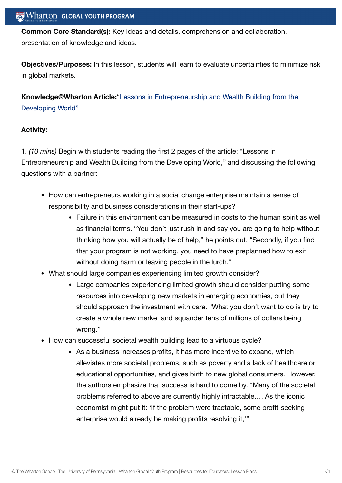**Common Core Standard(s):** Key ideas and details, comprehension and collaboration, presentation of knowledge and ideas.

**Objectives/Purposes:** In this lesson, students will learn to evaluate uncertainties to minimize risk in global markets.

**[Knowledge@Wharton](http://knowledge.wharton.upenn.edu/article.cfm?articleid=2609) Article:**"Lessons in Entrepreneurship and Wealth Building from the Developing World"

#### **Activity:**

1. *(10 mins)* Begin with students reading the first 2 pages of the article: "Lessons in Entrepreneurship and Wealth Building from the Developing World," and discussing the following questions with a partner:

- How can entrepreneurs working in a social change enterprise maintain a sense of responsibility and business considerations in their start-ups?
	- Failure in this environment can be measured in costs to the human spirit as well as financial terms. "You don't just rush in and say you are going to help without thinking how you will actually be of help," he points out. "Secondly, if you find that your program is not working, you need to have preplanned how to exit without doing harm or leaving people in the lurch."
- What should large companies experiencing limited growth consider?
	- Large companies experiencing limited growth should consider putting some resources into developing new markets in emerging economies, but they should approach the investment with care. "What you don't want to do is try to create a whole new market and squander tens of millions of dollars being wrong."
- How can successful societal wealth building lead to a virtuous cycle?
	- As a business increases profits, it has more incentive to expand, which alleviates more societal problems, such as poverty and a lack of healthcare or educational opportunities, and gives birth to new global consumers. However, the authors emphasize that success is hard to come by. "Many of the societal problems referred to above are currently highly intractable…. As the iconic economist might put it: 'If the problem were tractable, some profit-seeking enterprise would already be making profits resolving it,<sup>17</sup>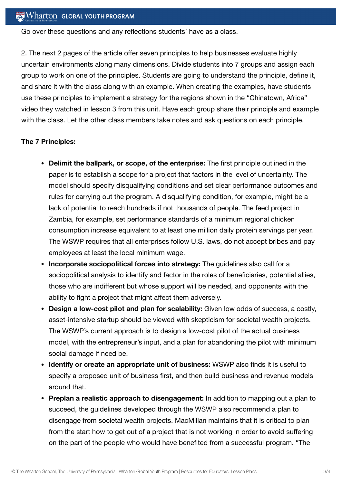Go over these questions and any reflections students' have as a class.

2. The next 2 pages of the article offer seven principles to help businesses evaluate highly uncertain environments along many dimensions. Divide students into 7 groups and assign each group to work on one of the principles. Students are going to understand the principle, define it, and share it with the class along with an example. When creating the examples, have students use these principles to implement a strategy for the regions shown in the "Chinatown, Africa" video they watched in lesson 3 from this unit. Have each group share their principle and example with the class. Let the other class members take notes and ask questions on each principle.

#### **The 7 Principles:**

- **Delimit the ballpark, or scope, of the enterprise:** The first principle outlined in the paper is to establish a scope for a project that factors in the level of uncertainty. The model should specify disqualifying conditions and set clear performance outcomes and rules for carrying out the program. A disqualifying condition, for example, might be a lack of potential to reach hundreds if not thousands of people. The feed project in Zambia, for example, set performance standards of a minimum regional chicken consumption increase equivalent to at least one million daily protein servings per year. The WSWP requires that all enterprises follow U.S. laws, do not accept bribes and pay employees at least the local minimum wage.
- **Incorporate sociopolitical forces into strategy:** The guidelines also call for a sociopolitical analysis to identify and factor in the roles of beneficiaries, potential allies, those who are indifferent but whose support will be needed, and opponents with the ability to fight a project that might affect them adversely.
- **Design a low-cost pilot and plan for scalability:** Given low odds of success, a costly, asset-intensive startup should be viewed with skepticism for societal wealth projects. The WSWP's current approach is to design a low-cost pilot of the actual business model, with the entrepreneur's input, and a plan for abandoning the pilot with minimum social damage if need be.
- **Identify or create an appropriate unit of business:** WSWP also finds it is useful to specify a proposed unit of business first, and then build business and revenue models around that.
- **Preplan a realistic approach to disengagement:** In addition to mapping out a plan to succeed, the guidelines developed through the WSWP also recommend a plan to disengage from societal wealth projects. MacMillan maintains that it is critical to plan from the start how to get out of a project that is not working in order to avoid suffering on the part of the people who would have benefited from a successful program. "The